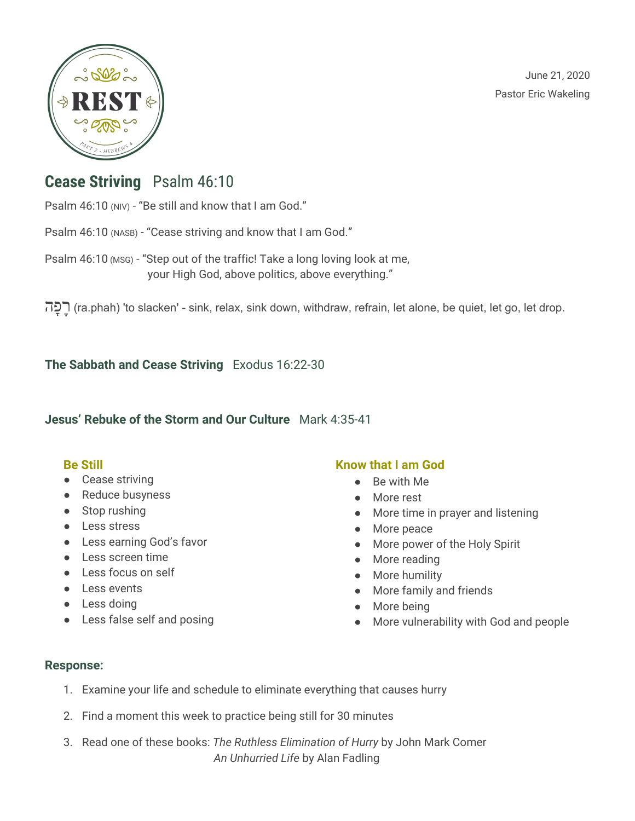June 21, 2020 Pastor Eric Wakeling



### **Cease Striving** Psalm 46:10

Psalm 46:10 (NIV) - "Be still and know that I am God."

Psalm 46:10 (NASB) - "Cease striving and know that I am God."

Psalm 46:10 (MSG) - "Step out of the traffic! Take a long loving look at me, your High God, above politics, above everything."

רפה) ra.phah) 'to slacken' - sink, relax, sink down, withdraw, refrain, let alone, be quiet, let go, let drop.

**The Sabbath and Cease Striving** Exodus 16:22-30

#### **Jesus' Rebuke of the Storm and Our Culture** Mark 4:35-41

#### **Be Still**

- Cease striving
- Reduce busyness
- Stop rushing
- Less stress
- Less earning God's favor
- Less screen time
- Less focus on self
- Less events
- Less doing
- Less false self and posing

#### **Know that I am God**

- Be with Me
- More rest
- More time in prayer and listening
- More peace
- More power of the Holy Spirit
- More reading
- More humility
- More family and friends
- More being
- More vulnerability with God and people

#### **Response:**

- 1. Examine your life and schedule to eliminate everything that causes hurry
- 2. Find a moment this week to practice being still for 30 minutes
- 3. Read one of these books: *The Ruthless Elimination of Hurry* by John Mark Comer *An Unhurried Life* by Alan Fadling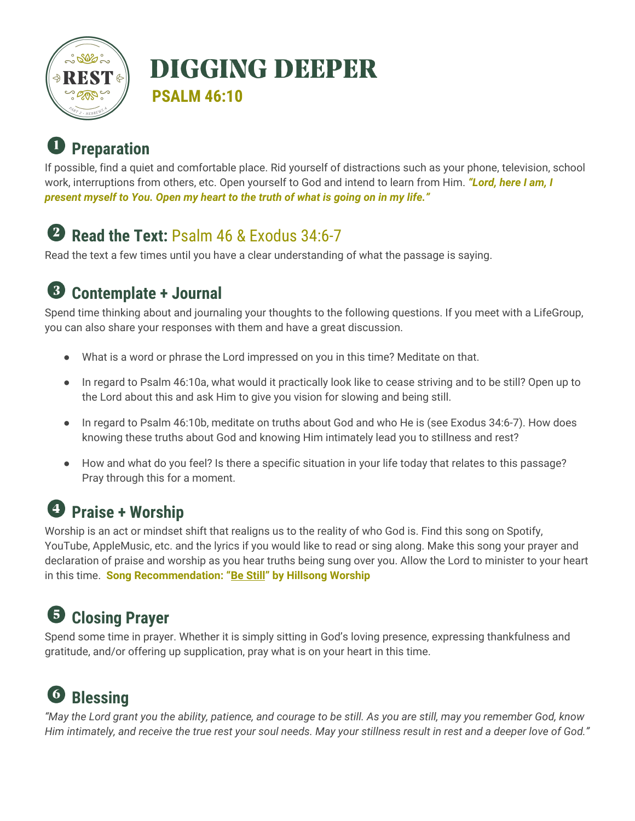

# **DIGGING DEEPER**

# **Preparation**

If possible, find a quiet and comfortable place. Rid yourself of distractions such as your phone, television, school work, interruptions from others, etc. Open yourself to God and intend to learn from Him. *"Lord, here I am, I present myself to You. Open my heart to the truth of what is going on in my life."*

## **Read the Text:** Psalm 46 & Exodus 34:6-7

**PSALM 46:10**

Read the text a few times until you have a clear understanding of what the passage is saying.

#### $\bullet$ **Contemplate + Journal**

Spend time thinking about and journaling your thoughts to the following questions. If you meet with a LifeGroup, you can also share your responses with them and have a great discussion.

- What is a word or phrase the Lord impressed on you in this time? Meditate on that.
- In regard to Psalm 46:10a, what would it practically look like to cease striving and to be still? Open up to the Lord about this and ask Him to give you vision for slowing and being still.
- In regard to Psalm 46:10b, meditate on truths about God and who He is (see Exodus 34:6-7). How does knowing these truths about God and knowing Him intimately lead you to stillness and rest?
- How and what do you feel? Is there a specific situation in your life today that relates to this passage? Pray through this for a moment.

### **Praise + Worship**

Worship is an act or mindset shift that realigns us to the reality of who God is. Find this song on Spotify, YouTube, AppleMusic, etc. and the lyrics if you would like to read or sing along. Make this song your prayer and declaration of praise and worship as you hear truths being sung over you. Allow the Lord to minister to your heart in this time. **Song Recommendation: "[Be Still"](https://www.youtube.com/watch?v=4zcHHp0GTuc) by Hillsong Worship**

# **Closing Prayer**

Spend some time in prayer. Whether it is simply sitting in God's loving presence, expressing thankfulness and gratitude, and/or offering up supplication, pray what is on your heart in this time.

### **Blessing**

*"May the Lord grant you the ability, patience, and courage to be still. As you are still, may you remember God, know Him intimately, and receive the true rest your soul needs. May your stillness result in rest and a deeper love of God."*